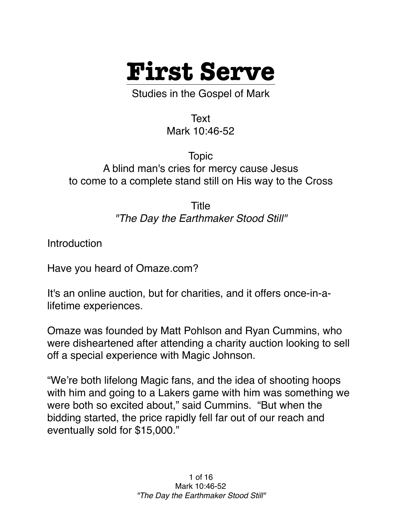

Studies in the Gospel of Mark

Text Mark 10:46-52

Topic A blind man's cries for mercy cause Jesus to come to a complete stand still on His way to the Cross

> Title *"The Day the Earthmaker Stood Still"*

Introduction

Have you heard of Omaze.com?

It's an online auction, but for charities, and it offers once-in-alifetime experiences.

Omaze was founded by Matt Pohlson and Ryan Cummins, who were disheartened after attending a charity auction looking to sell off a special experience with Magic Johnson.

"We're both lifelong Magic fans, and the idea of shooting hoops with him and going to a Lakers game with him was something we were both so excited about," said Cummins. "But when the bidding started, the price rapidly fell far out of our reach and eventually sold for \$15,000."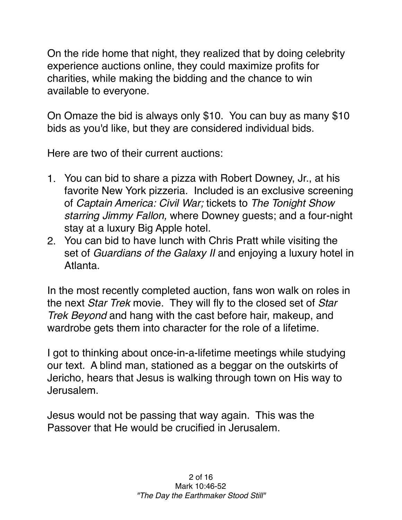On the ride home that night, they realized that by doing celebrity experience auctions online, they could maximize profits for charities, while making the bidding and the chance to win available to everyone.

On Omaze the bid is always only \$10. You can buy as many \$10 bids as you'd like, but they are considered individual bids.

Here are two of their current auctions:

- 1. You can bid to share a pizza with Robert Downey, Jr., at his favorite New York pizzeria. Included is an exclusive screening of *Captain America: Civil War;* tickets to *The Tonight Show starring Jimmy Fallon,* where Downey guests; and a four-night stay at a luxury Big Apple hotel.
- 2. You can bid to have lunch with Chris Pratt while visiting the set of *Guardians of the Galaxy II* and enjoying a luxury hotel in Atlanta.

In the most recently completed auction, fans won walk on roles in the next *Star Trek* movie. They will fly to the closed set of *Star Trek Beyond* and hang with the cast before hair, makeup, and wardrobe gets them into character for the role of a lifetime.

I got to thinking about once-in-a-lifetime meetings while studying our text. A blind man, stationed as a beggar on the outskirts of Jericho, hears that Jesus is walking through town on His way to Jerusalem.

Jesus would not be passing that way again. This was the Passover that He would be crucified in Jerusalem.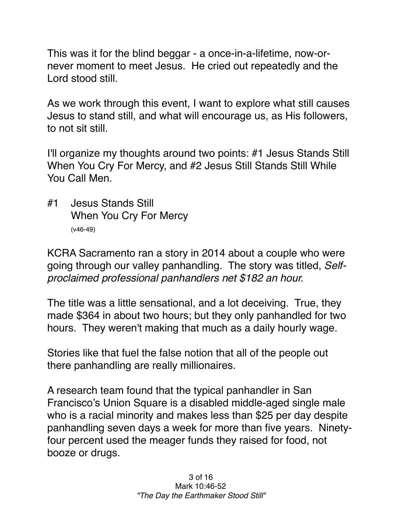This was it for the blind beggar - a once-in-a-lifetime, now-ornever moment to meet Jesus. He cried out repeatedly and the Lord stood still.

As we work through this event, I want to explore what still causes Jesus to stand still, and what will encourage us, as His followers, to not sit still.

I'll organize my thoughts around two points: #1 Jesus Stands Still When You Cry For Mercy, and #2 Jesus Still Stands Still While You Call Men.

#1 Jesus Stands Still When You Cry For Mercy (v46-49)

KCRA Sacramento ran a story in 2014 about a couple who were going through our valley panhandling. The story was titled, *Selfproclaimed professional panhandlers net \$182 an hour.*

The title was a little sensational, and a lot deceiving. True, they made \$364 in about two hours; but they only panhandled for two hours. They weren't making that much as a daily hourly wage.

Stories like that fuel the false notion that all of the people out there panhandling are really millionaires.

A research team found that the typical panhandler in San Francisco's Union Square is a disabled middle-aged single male who is a racial minority and makes less than \$25 per day despite panhandling seven days a week for more than five years. Ninetyfour percent used the meager funds they raised for food, not booze or drugs.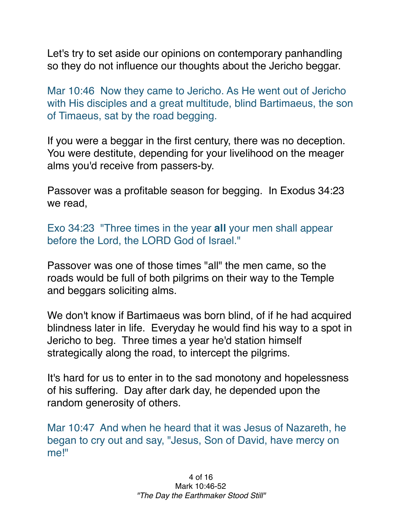Let's try to set aside our opinions on contemporary panhandling so they do not influence our thoughts about the Jericho beggar.

Mar 10:46 Now they came to Jericho. As He went out of Jericho with His disciples and a great multitude, blind Bartimaeus, the son of Timaeus, sat by the road begging.

If you were a beggar in the first century, there was no deception. You were destitute, depending for your livelihood on the meager alms you'd receive from passers-by.

Passover was a profitable season for begging. In Exodus 34:23 we read,

Exo 34:23 "Three times in the year **all** your men shall appear before the Lord, the LORD God of Israel."

Passover was one of those times "all" the men came, so the roads would be full of both pilgrims on their way to the Temple and beggars soliciting alms.

We don't know if Bartimaeus was born blind, of if he had acquired blindness later in life. Everyday he would find his way to a spot in Jericho to beg. Three times a year he'd station himself strategically along the road, to intercept the pilgrims.

It's hard for us to enter in to the sad monotony and hopelessness of his suffering. Day after dark day, he depended upon the random generosity of others.

Mar 10:47 And when he heard that it was Jesus of Nazareth, he began to cry out and say, "Jesus, Son of David, have mercy on me!"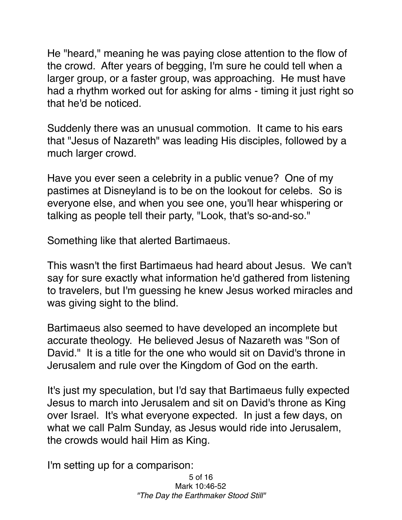He "heard," meaning he was paying close attention to the flow of the crowd. After years of begging, I'm sure he could tell when a larger group, or a faster group, was approaching. He must have had a rhythm worked out for asking for alms - timing it just right so that he'd be noticed.

Suddenly there was an unusual commotion. It came to his ears that "Jesus of Nazareth" was leading His disciples, followed by a much larger crowd.

Have you ever seen a celebrity in a public venue? One of my pastimes at Disneyland is to be on the lookout for celebs. So is everyone else, and when you see one, you'll hear whispering or talking as people tell their party, "Look, that's so-and-so."

Something like that alerted Bartimaeus.

This wasn't the first Bartimaeus had heard about Jesus. We can't say for sure exactly what information he'd gathered from listening to travelers, but I'm guessing he knew Jesus worked miracles and was giving sight to the blind.

Bartimaeus also seemed to have developed an incomplete but accurate theology. He believed Jesus of Nazareth was "Son of David." It is a title for the one who would sit on David's throne in Jerusalem and rule over the Kingdom of God on the earth.

It's just my speculation, but I'd say that Bartimaeus fully expected Jesus to march into Jerusalem and sit on David's throne as King over Israel. It's what everyone expected. In just a few days, on what we call Palm Sunday, as Jesus would ride into Jerusalem, the crowds would hail Him as King.

I'm setting up for a comparison:

5 of 16 Mark 10:46-52 *"The Day the Earthmaker Stood Still"*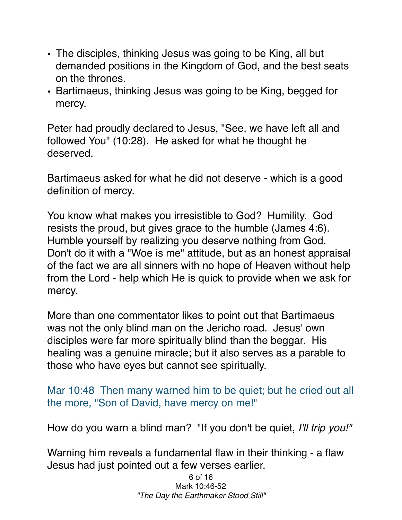- The disciples, thinking Jesus was going to be King, all but demanded positions in the Kingdom of God, and the best seats on the thrones.
- Bartimaeus, thinking Jesus was going to be King, begged for mercy.

Peter had proudly declared to Jesus, "See, we have left all and followed You" (10:28). He asked for what he thought he deserved.

Bartimaeus asked for what he did not deserve - which is a good definition of mercy.

You know what makes you irresistible to God? Humility. God resists the proud, but gives grace to the humble (James 4:6). Humble yourself by realizing you deserve nothing from God. Don't do it with a "Woe is me" attitude, but as an honest appraisal of the fact we are all sinners with no hope of Heaven without help from the Lord - help which He is quick to provide when we ask for mercy.

More than one commentator likes to point out that Bartimaeus was not the only blind man on the Jericho road. Jesus' own disciples were far more spiritually blind than the beggar. His healing was a genuine miracle; but it also serves as a parable to those who have eyes but cannot see spiritually.

## Mar 10:48 Then many warned him to be quiet; but he cried out all the more, "Son of David, have mercy on me!"

How do you warn a blind man? "If you don't be quiet, *I'll trip you!"* 

Warning him reveals a fundamental flaw in their thinking - a flaw Jesus had just pointed out a few verses earlier.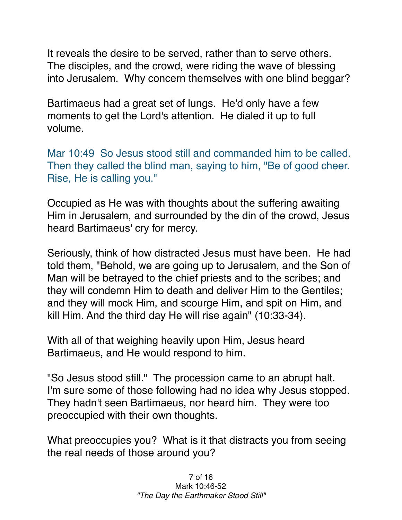It reveals the desire to be served, rather than to serve others. The disciples, and the crowd, were riding the wave of blessing into Jerusalem. Why concern themselves with one blind beggar?

Bartimaeus had a great set of lungs. He'd only have a few moments to get the Lord's attention. He dialed it up to full volume.

Mar 10:49 So Jesus stood still and commanded him to be called. Then they called the blind man, saying to him, "Be of good cheer. Rise, He is calling you."

Occupied as He was with thoughts about the suffering awaiting Him in Jerusalem, and surrounded by the din of the crowd, Jesus heard Bartimaeus' cry for mercy.

Seriously, think of how distracted Jesus must have been. He had told them, "Behold, we are going up to Jerusalem, and the Son of Man will be betrayed to the chief priests and to the scribes; and they will condemn Him to death and deliver Him to the Gentiles; and they will mock Him, and scourge Him, and spit on Him, and kill Him. And the third day He will rise again" (10:33-34).

With all of that weighing heavily upon Him, Jesus heard Bartimaeus, and He would respond to him.

"So Jesus stood still." The procession came to an abrupt halt. I'm sure some of those following had no idea why Jesus stopped. They hadn't seen Bartimaeus, nor heard him. They were too preoccupied with their own thoughts.

What preoccupies you? What is it that distracts you from seeing the real needs of those around you?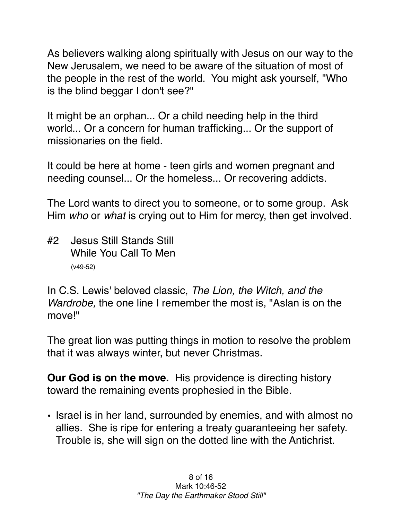As believers walking along spiritually with Jesus on our way to the New Jerusalem, we need to be aware of the situation of most of the people in the rest of the world. You might ask yourself, "Who is the blind beggar I don't see?"

It might be an orphan... Or a child needing help in the third world... Or a concern for human trafficking... Or the support of missionaries on the field.

It could be here at home - teen girls and women pregnant and needing counsel... Or the homeless... Or recovering addicts.

The Lord wants to direct you to someone, or to some group. Ask Him *who* or *what* is crying out to Him for mercy, then get involved.

#2 Jesus Still Stands Still While You Call To Men (v49-52)

In C.S. Lewis' beloved classic, *The Lion, the Witch, and the Wardrobe,* the one line I remember the most is, "Aslan is on the move!"

The great lion was putting things in motion to resolve the problem that it was always winter, but never Christmas.

**Our God is on the move.** His providence is directing history toward the remaining events prophesied in the Bible.

• Israel is in her land, surrounded by enemies, and with almost no allies. She is ripe for entering a treaty guaranteeing her safety. Trouble is, she will sign on the dotted line with the Antichrist.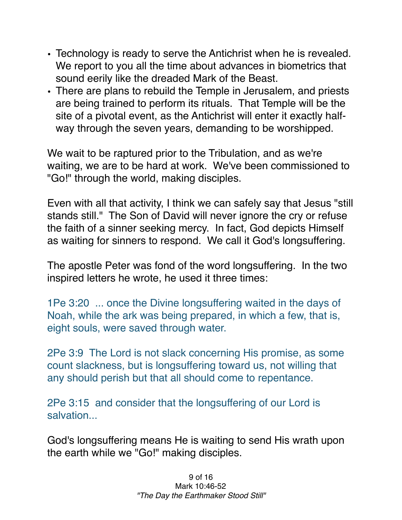- Technology is ready to serve the Antichrist when he is revealed. We report to you all the time about advances in biometrics that sound eerily like the dreaded Mark of the Beast.
- There are plans to rebuild the Temple in Jerusalem, and priests are being trained to perform its rituals. That Temple will be the site of a pivotal event, as the Antichrist will enter it exactly halfway through the seven years, demanding to be worshipped.

We wait to be raptured prior to the Tribulation, and as we're waiting, we are to be hard at work. We've been commissioned to "Go!" through the world, making disciples.

Even with all that activity, I think we can safely say that Jesus "still stands still." The Son of David will never ignore the cry or refuse the faith of a sinner seeking mercy. In fact, God depicts Himself as waiting for sinners to respond. We call it God's longsuffering.

The apostle Peter was fond of the word longsuffering. In the two inspired letters he wrote, he used it three times:

1Pe 3:20 ... once the Divine longsuffering waited in the days of Noah, while the ark was being prepared, in which a few, that is, eight souls, were saved through water.

2Pe 3:9 The Lord is not slack concerning His promise, as some count slackness, but is longsuffering toward us, not willing that any should perish but that all should come to repentance.

2Pe 3:15 and consider that the longsuffering of our Lord is salvation...

God's longsuffering means He is waiting to send His wrath upon the earth while we "Go!" making disciples.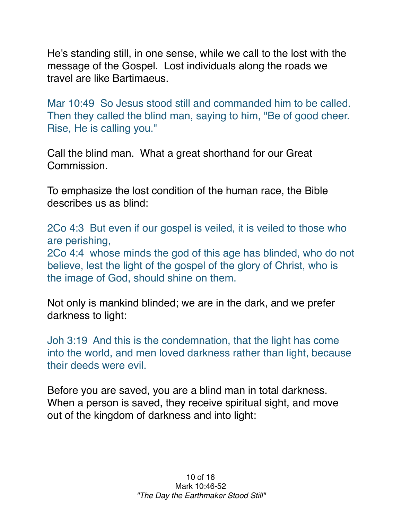He's standing still, in one sense, while we call to the lost with the message of the Gospel. Lost individuals along the roads we travel are like Bartimaeus.

Mar 10:49 So Jesus stood still and commanded him to be called. Then they called the blind man, saying to him, "Be of good cheer. Rise, He is calling you."

Call the blind man. What a great shorthand for our Great Commission.

To emphasize the lost condition of the human race, the Bible describes us as blind:

2Co 4:3 But even if our gospel is veiled, it is veiled to those who are perishing,

2Co 4:4 whose minds the god of this age has blinded, who do not believe, lest the light of the gospel of the glory of Christ, who is the image of God, should shine on them.

Not only is mankind blinded; we are in the dark, and we prefer darkness to light:

Joh 3:19 And this is the condemnation, that the light has come into the world, and men loved darkness rather than light, because their deeds were evil.

Before you are saved, you are a blind man in total darkness. When a person is saved, they receive spiritual sight, and move out of the kingdom of darkness and into light: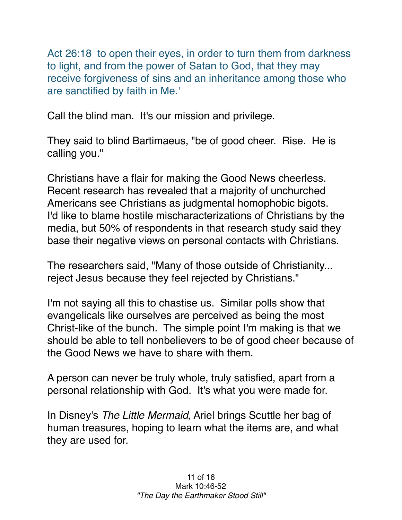Act 26:18 to open their eyes, in order to turn them from darkness to light, and from the power of Satan to God, that they may receive forgiveness of sins and an inheritance among those who are sanctified by faith in Me.'

Call the blind man. It's our mission and privilege.

They said to blind Bartimaeus, "be of good cheer. Rise. He is calling you."

Christians have a flair for making the Good News cheerless. Recent research has revealed that a majority of unchurched Americans see Christians as judgmental homophobic bigots. I'd like to blame hostile mischaracterizations of Christians by the media, but 50% of respondents in that research study said they base their negative views on personal contacts with Christians.

The researchers said, "Many of those outside of Christianity... reject Jesus because they feel rejected by Christians."

I'm not saying all this to chastise us. Similar polls show that evangelicals like ourselves are perceived as being the most Christ-like of the bunch. The simple point I'm making is that we should be able to tell nonbelievers to be of good cheer because of the Good News we have to share with them.

A person can never be truly whole, truly satisfied, apart from a personal relationship with God. It's what you were made for.

In Disney's *The Little Mermaid,* Ariel brings Scuttle her bag of human treasures, hoping to learn what the items are, and what they are used for.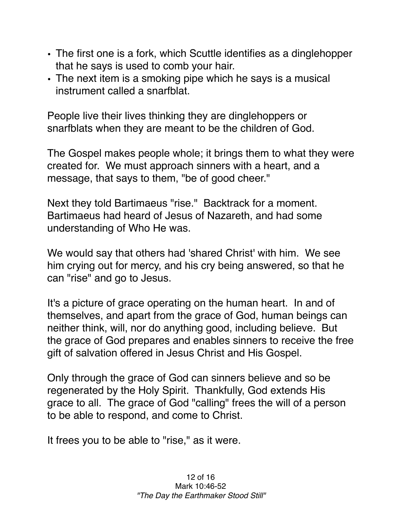- The first one is a fork, which Scuttle identifies as a dinglehopper that he says is used to comb your hair.
- The next item is a smoking pipe which he says is a musical instrument called a snarfblat.

People live their lives thinking they are dinglehoppers or snarfblats when they are meant to be the children of God.

The Gospel makes people whole; it brings them to what they were created for. We must approach sinners with a heart, and a message, that says to them, "be of good cheer."

Next they told Bartimaeus "rise." Backtrack for a moment. Bartimaeus had heard of Jesus of Nazareth, and had some understanding of Who He was.

We would say that others had 'shared Christ' with him. We see him crying out for mercy, and his cry being answered, so that he can "rise" and go to Jesus.

It's a picture of grace operating on the human heart. In and of themselves, and apart from the grace of God, human beings can neither think, will, nor do anything good, including believe. But the grace of God prepares and enables sinners to receive the free gift of salvation offered in Jesus Christ and His Gospel.

Only through the grace of God can sinners believe and so be regenerated by the Holy Spirit. Thankfully, God extends His grace to all. The grace of God "calling" frees the will of a person to be able to respond, and come to Christ.

It frees you to be able to "rise," as it were.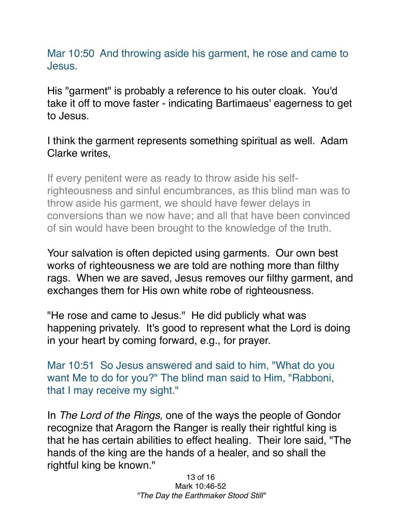Mar 10:50 And throwing aside his garment, he rose and came to Jesus.

His "garment" is probably a reference to his outer cloak. You'd take it off to move faster - indicating Bartimaeus' eagerness to get to Jesus.

I think the garment represents something spiritual as well. Adam Clarke writes,

If every penitent were as ready to throw aside his selfrighteousness and sinful encumbrances, as this blind man was to throw aside his garment, we should have fewer delays in conversions than we now have; and all that have been convinced of sin would have been brought to the knowledge of the truth.

Your salvation is often depicted using garments. Our own best works of righteousness we are told are nothing more than filthy rags. When we are saved, Jesus removes our filthy garment, and exchanges them for His own white robe of righteousness.

"He rose and came to Jesus." He did publicly what was happening privately. It's good to represent what the Lord is doing in your heart by coming forward, e.g., for prayer.

Mar 10:51 So Jesus answered and said to him, "What do you want Me to do for you?" The blind man said to Him, "Rabboni, that I may receive my sight."

In *The Lord of the Rings,* one of the ways the people of Gondor recognize that Aragorn the Ranger is really their rightful king is that he has certain abilities to effect healing. Their lore said, "The hands of the king are the hands of a healer, and so shall the rightful king be known."

> 13 of 16 Mark 10:46-52 *"The Day the Earthmaker Stood Still"*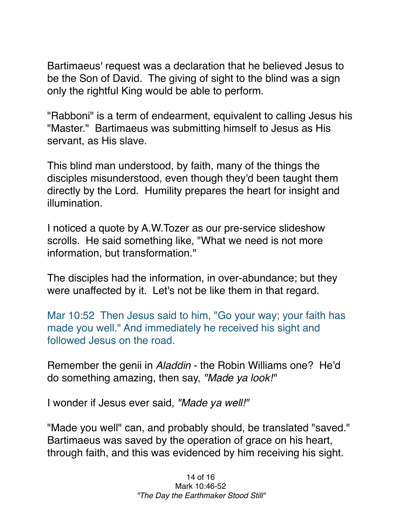Bartimaeus' request was a declaration that he believed Jesus to be the Son of David. The giving of sight to the blind was a sign only the rightful King would be able to perform.

"Rabboni" is a term of endearment, equivalent to calling Jesus his "Master." Bartimaeus was submitting himself to Jesus as His servant, as His slave.

This blind man understood, by faith, many of the things the disciples misunderstood, even though they'd been taught them directly by the Lord. Humility prepares the heart for insight and illumination.

I noticed a quote by A.W.Tozer as our pre-service slideshow scrolls. He said something like, "What we need is not more information, but transformation."

The disciples had the information, in over-abundance; but they were unaffected by it. Let's not be like them in that regard.

Mar 10:52 Then Jesus said to him, "Go your way; your faith has made you well." And immediately he received his sight and followed Jesus on the road.

Remember the genii in *Aladdin* - the Robin Williams one? He'd do something amazing, then say, *"Made ya look!"*

I wonder if Jesus ever said, *"Made ya well!"*

"Made you well" can, and probably should, be translated "saved." Bartimaeus was saved by the operation of grace on his heart, through faith, and this was evidenced by him receiving his sight.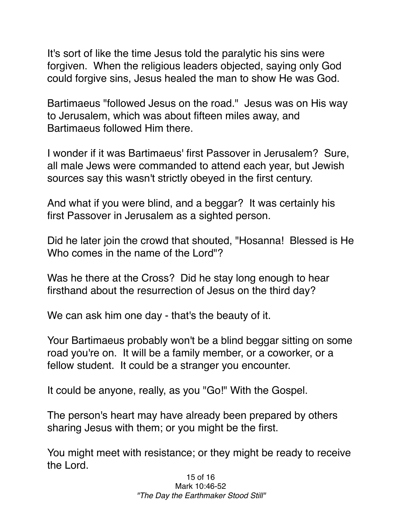It's sort of like the time Jesus told the paralytic his sins were forgiven. When the religious leaders objected, saying only God could forgive sins, Jesus healed the man to show He was God.

Bartimaeus "followed Jesus on the road." Jesus was on His way to Jerusalem, which was about fifteen miles away, and Bartimaeus followed Him there.

I wonder if it was Bartimaeus' first Passover in Jerusalem? Sure, all male Jews were commanded to attend each year, but Jewish sources say this wasn't strictly obeyed in the first century.

And what if you were blind, and a beggar? It was certainly his first Passover in Jerusalem as a sighted person.

Did he later join the crowd that shouted, "Hosanna! Blessed is He Who comes in the name of the Lord"?

Was he there at the Cross? Did he stay long enough to hear firsthand about the resurrection of Jesus on the third day?

We can ask him one day - that's the beauty of it.

Your Bartimaeus probably won't be a blind beggar sitting on some road you're on. It will be a family member, or a coworker, or a fellow student. It could be a stranger you encounter.

It could be anyone, really, as you "Go!" With the Gospel.

The person's heart may have already been prepared by others sharing Jesus with them; or you might be the first.

You might meet with resistance; or they might be ready to receive the Lord.

> 15 of 16 Mark 10:46-52 *"The Day the Earthmaker Stood Still"*